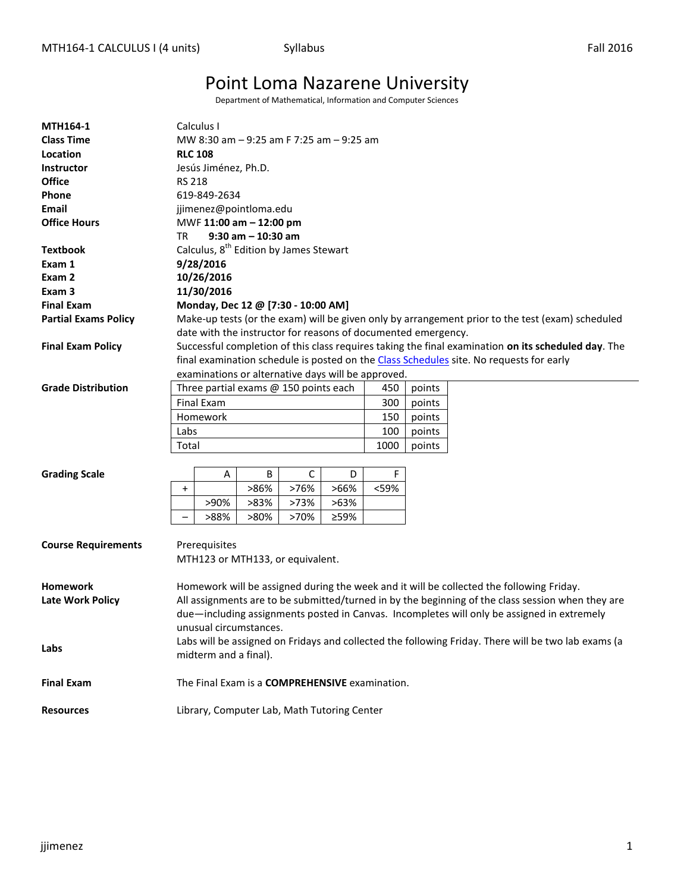# Point Loma Nazarene University

Department of Mathematical, Information and Computer Sciences

| <b>MTH164-1</b>             |                                                                                                     | Calculus I                            |      |      |                                                               |      |        |                                                                                                     |  |  |
|-----------------------------|-----------------------------------------------------------------------------------------------------|---------------------------------------|------|------|---------------------------------------------------------------|------|--------|-----------------------------------------------------------------------------------------------------|--|--|
| <b>Class Time</b>           | MW 8:30 am – 9:25 am F 7:25 am – 9:25 am                                                            |                                       |      |      |                                                               |      |        |                                                                                                     |  |  |
| Location                    | <b>RLC 108</b>                                                                                      |                                       |      |      |                                                               |      |        |                                                                                                     |  |  |
| <b>Instructor</b>           | Jesús Jiménez, Ph.D.                                                                                |                                       |      |      |                                                               |      |        |                                                                                                     |  |  |
| <b>Office</b>               | <b>RS 218</b>                                                                                       |                                       |      |      |                                                               |      |        |                                                                                                     |  |  |
| Phone                       | 619-849-2634                                                                                        |                                       |      |      |                                                               |      |        |                                                                                                     |  |  |
| Email                       |                                                                                                     | jjimenez@pointloma.edu                |      |      |                                                               |      |        |                                                                                                     |  |  |
| <b>Office Hours</b>         | MWF 11:00 am - 12:00 pm                                                                             |                                       |      |      |                                                               |      |        |                                                                                                     |  |  |
|                             | $9:30$ am $-10:30$ am<br>TR                                                                         |                                       |      |      |                                                               |      |        |                                                                                                     |  |  |
| <b>Textbook</b>             | Calculus, 8 <sup>th</sup> Edition by James Stewart                                                  |                                       |      |      |                                                               |      |        |                                                                                                     |  |  |
| Exam 1                      | 9/28/2016                                                                                           |                                       |      |      |                                                               |      |        |                                                                                                     |  |  |
| Exam 2                      |                                                                                                     | 10/26/2016                            |      |      |                                                               |      |        |                                                                                                     |  |  |
| Exam <sub>3</sub>           | 11/30/2016                                                                                          |                                       |      |      |                                                               |      |        |                                                                                                     |  |  |
| <b>Final Exam</b>           | Monday, Dec 12 @ [7:30 - 10:00 AM]                                                                  |                                       |      |      |                                                               |      |        |                                                                                                     |  |  |
| <b>Partial Exams Policy</b> | Make-up tests (or the exam) will be given only by arrangement prior to the test (exam) scheduled    |                                       |      |      |                                                               |      |        |                                                                                                     |  |  |
|                             |                                                                                                     |                                       |      |      | date with the instructor for reasons of documented emergency. |      |        |                                                                                                     |  |  |
| <b>Final Exam Policy</b>    |                                                                                                     |                                       |      |      |                                                               |      |        | Successful completion of this class requires taking the final examination on its scheduled day. The |  |  |
|                             |                                                                                                     |                                       |      |      |                                                               |      |        | final examination schedule is posted on the Class Schedules site. No requests for early             |  |  |
|                             |                                                                                                     |                                       |      |      | examinations or alternative days will be approved.            |      |        |                                                                                                     |  |  |
| <b>Grade Distribution</b>   |                                                                                                     | Three partial exams @ 150 points each |      |      |                                                               | 450  | points |                                                                                                     |  |  |
|                             |                                                                                                     | <b>Final Exam</b>                     |      |      |                                                               | 300  | points |                                                                                                     |  |  |
|                             |                                                                                                     | Homework                              |      |      |                                                               | 150  | points |                                                                                                     |  |  |
|                             | Labs                                                                                                |                                       |      |      |                                                               | 100  | points |                                                                                                     |  |  |
|                             | Total                                                                                               |                                       |      |      |                                                               | 1000 | points |                                                                                                     |  |  |
|                             |                                                                                                     |                                       |      |      |                                                               |      |        |                                                                                                     |  |  |
| <b>Grading Scale</b>        |                                                                                                     | Α                                     | В    | С    | D                                                             | F    |        |                                                                                                     |  |  |
|                             | $\ddot{}$                                                                                           |                                       | >86% | >76% | >66%                                                          | <59% |        |                                                                                                     |  |  |
|                             |                                                                                                     | >90%                                  | >83% | >73% | >63%                                                          |      |        |                                                                                                     |  |  |
|                             |                                                                                                     | >88%                                  | >80% | >70% | ≥59%                                                          |      |        |                                                                                                     |  |  |
|                             |                                                                                                     |                                       |      |      |                                                               |      |        |                                                                                                     |  |  |
| <b>Course Requirements</b>  |                                                                                                     | Prerequisites                         |      |      |                                                               |      |        |                                                                                                     |  |  |
|                             |                                                                                                     | MTH123 or MTH133, or equivalent.      |      |      |                                                               |      |        |                                                                                                     |  |  |
|                             |                                                                                                     |                                       |      |      |                                                               |      |        |                                                                                                     |  |  |
| <b>Homework</b>             |                                                                                                     |                                       |      |      |                                                               |      |        | Homework will be assigned during the week and it will be collected the following Friday.            |  |  |
| <b>Late Work Policy</b>     |                                                                                                     |                                       |      |      |                                                               |      |        | All assignments are to be submitted/turned in by the beginning of the class session when they are   |  |  |
|                             |                                                                                                     |                                       |      |      |                                                               |      |        | due—including assignments posted in Canvas. Incompletes will only be assigned in extremely          |  |  |
|                             |                                                                                                     | unusual circumstances.                |      |      |                                                               |      |        |                                                                                                     |  |  |
| Labs                        | Labs will be assigned on Fridays and collected the following Friday. There will be two lab exams (a |                                       |      |      |                                                               |      |        |                                                                                                     |  |  |
|                             | midterm and a final).                                                                               |                                       |      |      |                                                               |      |        |                                                                                                     |  |  |
|                             |                                                                                                     |                                       |      |      |                                                               |      |        |                                                                                                     |  |  |
| <b>Final Exam</b>           | The Final Exam is a COMPREHENSIVE examination.                                                      |                                       |      |      |                                                               |      |        |                                                                                                     |  |  |
|                             |                                                                                                     |                                       |      |      |                                                               |      |        |                                                                                                     |  |  |
| <b>Resources</b>            | Library, Computer Lab, Math Tutoring Center                                                         |                                       |      |      |                                                               |      |        |                                                                                                     |  |  |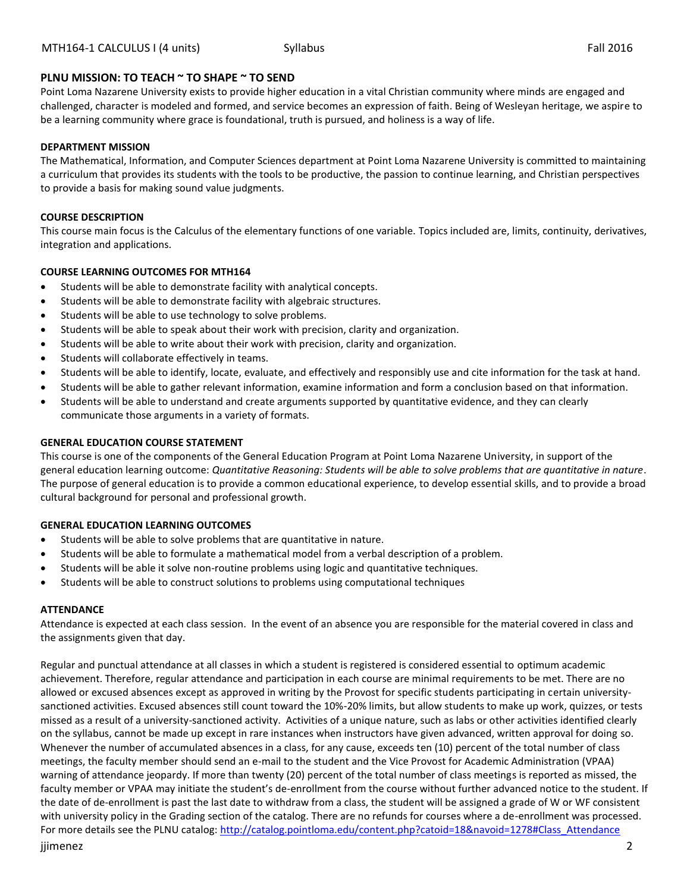# **PLNU MISSION: TO TEACH ~ TO SHAPE ~ TO SEND**

Point Loma Nazarene University exists to provide higher education in a vital Christian community where minds are engaged and challenged, character is modeled and formed, and service becomes an expression of faith. Being of Wesleyan heritage, we aspire to be a learning community where grace is foundational, truth is pursued, and holiness is a way of life.

### **DEPARTMENT MISSION**

The Mathematical, Information, and Computer Sciences department at Point Loma Nazarene University is committed to maintaining a curriculum that provides its students with the tools to be productive, the passion to continue learning, and Christian perspectives to provide a basis for making sound value judgments.

### **COURSE DESCRIPTION**

This course main focus is the Calculus of the elementary functions of one variable. Topics included are, limits, continuity, derivatives, integration and applications.

# **COURSE LEARNING OUTCOMES FOR MTH164**

- Students will be able to demonstrate facility with analytical concepts.
- Students will be able to demonstrate facility with algebraic structures.
- Students will be able to use technology to solve problems.
- Students will be able to speak about their work with precision, clarity and organization.
- Students will be able to write about their work with precision, clarity and organization.
- Students will collaborate effectively in teams.
- Students will be able to identify, locate, evaluate, and effectively and responsibly use and cite information for the task at hand.
- Students will be able to gather relevant information, examine information and form a conclusion based on that information.
- Students will be able to understand and create arguments supported by quantitative evidence, and they can clearly communicate those arguments in a variety of formats.

#### **GENERAL EDUCATION COURSE STATEMENT**

This course is one of the components of the General Education Program at Point Loma Nazarene University, in support of the general education learning outcome: *Quantitative Reasoning: Students will be able to solve problems that are quantitative in nature*. The purpose of general education is to provide a common educational experience, to develop essential skills, and to provide a broad cultural background for personal and professional growth.

# **GENERAL EDUCATION LEARNING OUTCOMES**

- Students will be able to solve problems that are quantitative in nature.
- Students will be able to formulate a mathematical model from a verbal description of a problem.
- Students will be able it solve non-routine problems using logic and quantitative techniques.
- Students will be able to construct solutions to problems using computational techniques

#### **ATTENDANCE**

Attendance is expected at each class session. In the event of an absence you are responsible for the material covered in class and the assignments given that day.

jjimenez 2 Regular and punctual attendance at all classes in which a student is registered is considered essential to optimum academic achievement. Therefore, regular attendance and participation in each course are minimal requirements to be met. There are no allowed or excused absences except as approved in writing by the Provost for specific students participating in certain universitysanctioned activities. Excused absences still count toward the 10%-20% limits, but allow students to make up work, quizzes, or tests missed as a result of a university-sanctioned activity. Activities of a unique nature, such as labs or other activities identified clearly on the syllabus, cannot be made up except in rare instances when instructors have given advanced, written approval for doing so. Whenever the number of accumulated absences in a class, for any cause, exceeds ten (10) percent of the total number of class meetings, the faculty member should send an e-mail to the student and the Vice Provost for Academic Administration (VPAA) warning of attendance jeopardy. If more than twenty (20) percent of the total number of class meetings is reported as missed, the faculty member or VPAA may initiate the student's de-enrollment from the course without further advanced notice to the student. If the date of de-enrollment is past the last date to withdraw from a class, the student will be assigned a grade of W or WF consistent with university policy in the Grading section of the catalog. There are no refunds for courses where a de-enrollment was processed. For more details see the PLNU catalog[: http://catalog.pointloma.edu/content.php?catoid=18&navoid=1278#Class\\_Attendance](http://catalog.pointloma.edu/content.php?catoid=18&navoid=1278#Class_Attendance)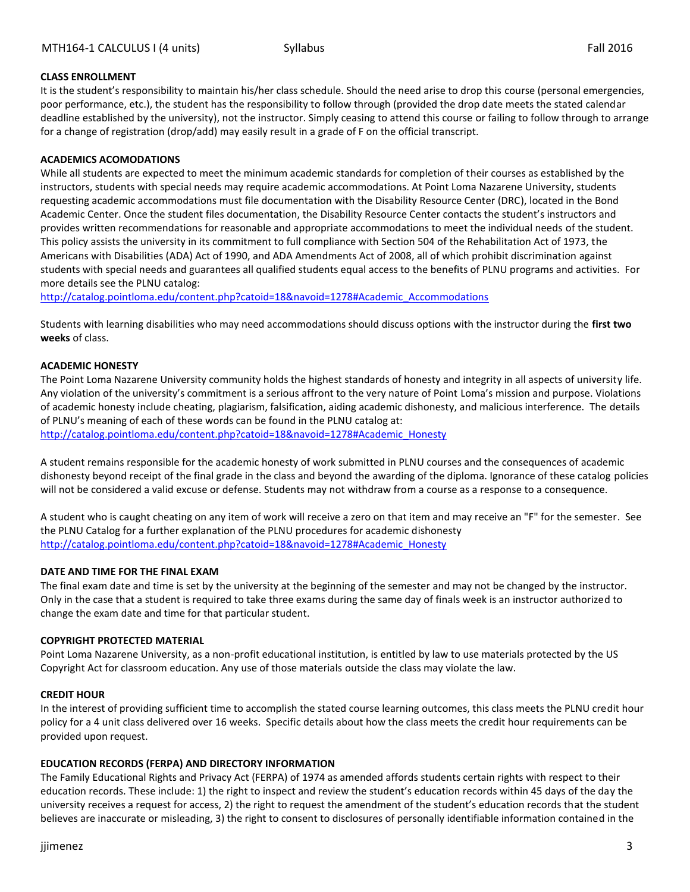# **CLASS ENROLLMENT**

It is the student's responsibility to maintain his/her class schedule. Should the need arise to drop this course (personal emergencies, poor performance, etc.), the student has the responsibility to follow through (provided the drop date meets the stated calendar deadline established by the university), not the instructor. Simply ceasing to attend this course or failing to follow through to arrange for a change of registration (drop/add) may easily result in a grade of F on the official transcript.

#### **ACADEMICS ACOMODATIONS**

While all students are expected to meet the minimum academic standards for completion of their courses as established by the instructors, students with special needs may require academic accommodations. At Point Loma Nazarene University, students requesting academic accommodations must file documentation with the Disability Resource Center (DRC), located in the Bond Academic Center. Once the student files documentation, the Disability Resource Center contacts the student's instructors and provides written recommendations for reasonable and appropriate accommodations to meet the individual needs of the student. This policy assists the university in its commitment to full compliance with Section 504 of the Rehabilitation Act of 1973, the Americans with Disabilities (ADA) Act of 1990, and ADA Amendments Act of 2008, all of which prohibit discrimination against students with special needs and guarantees all qualified students equal access to the benefits of PLNU programs and activities. For more details see the PLNU catalog:

[http://catalog.pointloma.edu/content.php?catoid=18&navoid=1278#Academic\\_Accommodations](http://catalog.pointloma.edu/content.php?catoid=18&navoid=1278#Academic_Accommodations)

Students with learning disabilities who may need accommodations should discuss options with the instructor during the **first two weeks** of class.

#### **ACADEMIC HONESTY**

The Point Loma Nazarene University community holds the highest standards of honesty and integrity in all aspects of university life. Any violation of the university's commitment is a serious affront to the very nature of Point Loma's mission and purpose. Violations of academic honesty include cheating, plagiarism, falsification, aiding academic dishonesty, and malicious interference. The details of PLNU's meaning of each of these words can be found in the PLNU catalog at:

[http://catalog.pointloma.edu/content.php?catoid=18&navoid=1278#Academic\\_Honesty](http://catalog.pointloma.edu/content.php?catoid=18&navoid=1278#Academic_Honesty)

A student remains responsible for the academic honesty of work submitted in PLNU courses and the consequences of academic dishonesty beyond receipt of the final grade in the class and beyond the awarding of the diploma. Ignorance of these catalog policies will not be considered a valid excuse or defense. Students may not withdraw from a course as a response to a consequence.

A student who is caught cheating on any item of work will receive a zero on that item and may receive an "F" for the semester. See the PLNU Catalog for a further explanation of the PLNU procedures for academic dishonesty [http://catalog.pointloma.edu/content.php?catoid=18&navoid=1278#Academic\\_Honesty](http://catalog.pointloma.edu/content.php?catoid=18&navoid=1278#Academic_Honesty)

#### **DATE AND TIME FOR THE FINAL EXAM**

The final exam date and time is set by the university at the beginning of the semester and may not be changed by the instructor. Only in the case that a student is required to take three exams during the same day of finals week is an instructor authorized to change the exam date and time for that particular student.

#### **COPYRIGHT PROTECTED MATERIAL**

Point Loma Nazarene University, as a non-profit educational institution, is entitled by law to use materials protected by the US Copyright Act for classroom education. Any use of those materials outside the class may violate the law.

#### **CREDIT HOUR**

In the interest of providing sufficient time to accomplish the stated course learning outcomes, this class meets the PLNU credit hour policy for a 4 unit class delivered over 16 weeks. Specific details about how the class meets the credit hour requirements can be provided upon request.

# **EDUCATION RECORDS (FERPA) AND DIRECTORY INFORMATION**

The Family Educational Rights and Privacy Act (FERPA) of 1974 as amended affords students certain rights with respect to their education records. These include: 1) the right to inspect and review the student's education records within 45 days of the day the university receives a request for access, 2) the right to request the amendment of the student's education records that the student believes are inaccurate or misleading, 3) the right to consent to disclosures of personally identifiable information contained in the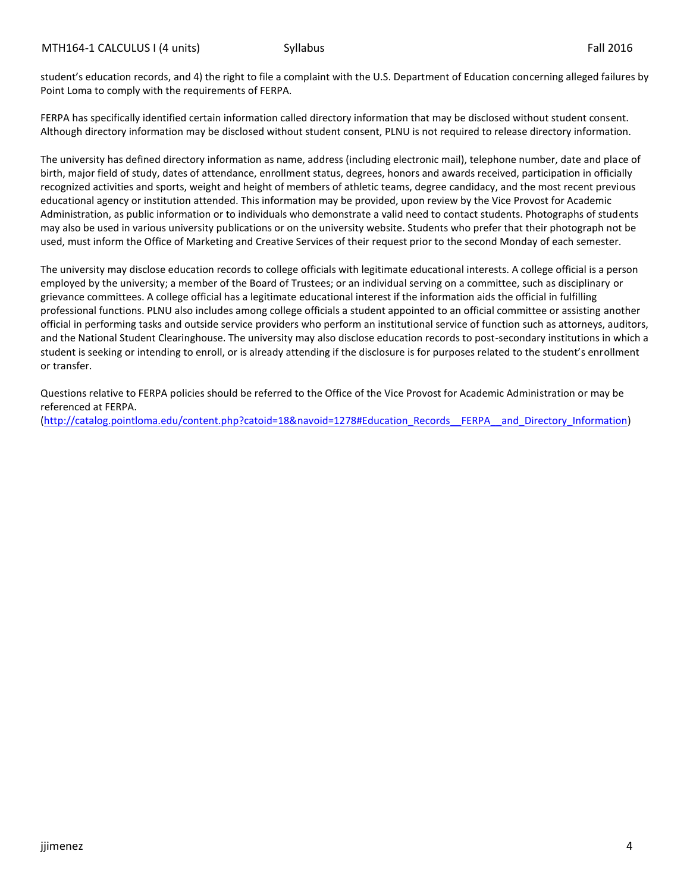student's education records, and 4) the right to file a complaint with the U.S. Department of Education concerning alleged failures by Point Loma to comply with the requirements of FERPA.

FERPA has specifically identified certain information called directory information that may be disclosed without student consent. Although directory information may be disclosed without student consent, PLNU is not required to release directory information.

The university has defined directory information as name, address (including electronic mail), telephone number, date and place of birth, major field of study, dates of attendance, enrollment status, degrees, honors and awards received, participation in officially recognized activities and sports, weight and height of members of athletic teams, degree candidacy, and the most recent previous educational agency or institution attended. This information may be provided, upon review by the Vice Provost for Academic Administration, as public information or to individuals who demonstrate a valid need to contact students. Photographs of students may also be used in various university publications or on the university website. Students who prefer that their photograph not be used, must inform the Office of Marketing and Creative Services of their request prior to the second Monday of each semester.

The university may disclose education records to college officials with legitimate educational interests. A college official is a person employed by the university; a member of the Board of Trustees; or an individual serving on a committee, such as disciplinary or grievance committees. A college official has a legitimate educational interest if the information aids the official in fulfilling professional functions. PLNU also includes among college officials a student appointed to an official committee or assisting another official in performing tasks and outside service providers who perform an institutional service of function such as attorneys, auditors, and the National Student Clearinghouse. The university may also disclose education records to post-secondary institutions in which a student is seeking or intending to enroll, or is already attending if the disclosure is for purposes related to the student's enrollment or transfer.

Questions relative to FERPA policies should be referred to the Office of the Vice Provost for Academic Administration or may be referenced at FERPA.

[\(http://catalog.pointloma.edu/content.php?catoid=18&navoid=1278#Education\\_Records\\_\\_FERPA\\_\\_and\\_Directory\\_Information\)](http://catalog.pointloma.edu/content.php?catoid=18&navoid=1278#Education_Records__FERPA__and_Directory_Information)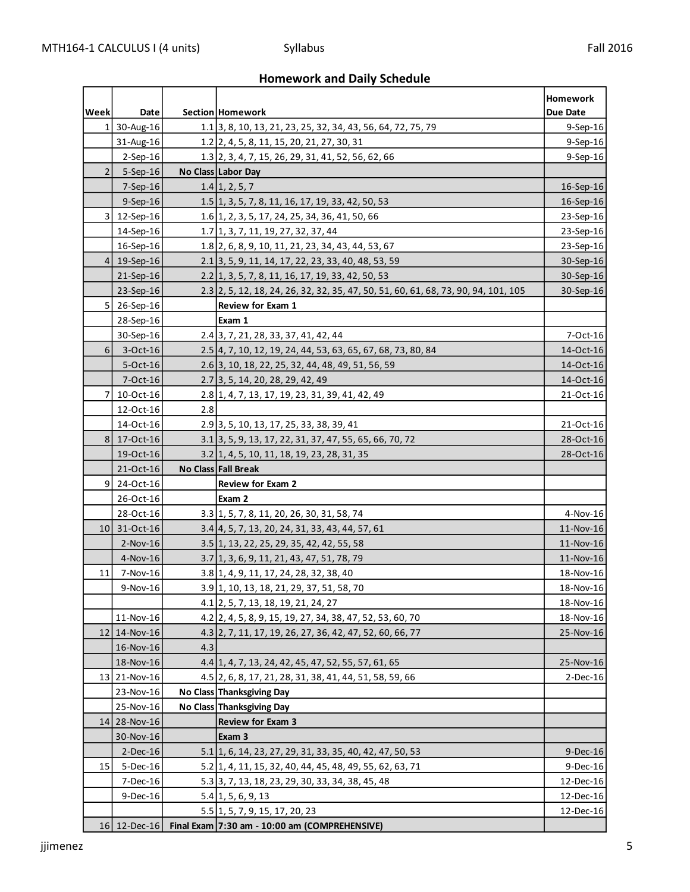# **Homework and Daily Schedule**

|                 |                              |     |                                                                                    | Homework               |
|-----------------|------------------------------|-----|------------------------------------------------------------------------------------|------------------------|
| Week            | Date                         |     | Section Homework                                                                   | Due Date               |
|                 | $1 \vert 30 - \text{Aug-16}$ |     | 1.1 3, 8, 10, 13, 21, 23, 25, 32, 34, 43, 56, 64, 72, 75, 79                       | 9-Sep-16               |
|                 | 31-Aug-16                    |     | 1.2 2, 4, 5, 8, 11, 15, 20, 21, 27, 30, 31                                         | $9-$ Sep $-16$         |
|                 | $2-Sep-16$                   |     | 1.3 2, 3, 4, 7, 15, 26, 29, 31, 41, 52, 56, 62, 66                                 | $9-Sep-16$             |
| 2 <sup>1</sup>  | $5-$ Sep $-16$               |     | No Class Labor Day                                                                 |                        |
|                 | $7-$ Sep $-16$               |     | $1.4$ 1, 2, 5, 7                                                                   | 16-Sep-16<br>16-Sep-16 |
|                 | $9-Sep-16$                   |     | 1.5 1, 3, 5, 7, 8, 11, 16, 17, 19, 33, 42, 50, 53                                  |                        |
| 3               | 12-Sep-16                    |     | 1.6 1, 2, 3, 5, 17, 24, 25, 34, 36, 41, 50, 66                                     | 23-Sep-16              |
|                 | 14-Sep-16                    |     | 1.7 1, 3, 7, 11, 19, 27, 32, 37, 44                                                | 23-Sep-16              |
|                 | 16-Sep-16                    |     | 1.8 2, 6, 8, 9, 10, 11, 21, 23, 34, 43, 44, 53, 67                                 | 23-Sep-16              |
|                 | $4 19-Sep-16$                |     | 2.1 3, 5, 9, 11, 14, 17, 22, 23, 33, 40, 48, 53, 59                                | 30-Sep-16              |
|                 | 21-Sep-16                    |     | 2.2 1, 3, 5, 7, 8, 11, 16, 17, 19, 33, 42, 50, 53                                  | 30-Sep-16              |
|                 | 23-Sep-16                    |     | 2.3 2, 5, 12, 18, 24, 26, 32, 32, 35, 47, 50, 51, 60, 61, 68, 73, 90, 94, 101, 105 | 30-Sep-16              |
| 5 <sup>1</sup>  | 26-Sep-16                    |     | <b>Review for Exam 1</b>                                                           |                        |
|                 | 28-Sep-16                    |     | Exam 1                                                                             |                        |
|                 | 30-Sep-16                    |     | 2.4 3, 7, 21, 28, 33, 37, 41, 42, 44                                               | 7-Oct-16               |
| $6 \mid$        | 3-Oct-16                     |     | 2.5 4, 7, 10, 12, 19, 24, 44, 53, 63, 65, 67, 68, 73, 80, 84                       | 14-Oct-16              |
|                 | 5-Oct-16                     |     | 2.6 3, 10, 18, 22, 25, 32, 44, 48, 49, 51, 56, 59                                  | 14-Oct-16              |
|                 | 7-Oct-16                     |     | 2.7 3, 5, 14, 20, 28, 29, 42, 49                                                   | 14-Oct-16              |
| 7               | 10-Oct-16                    |     | 2.8 1, 4, 7, 13, 17, 19, 23, 31, 39, 41, 42, 49                                    | 21-Oct-16              |
|                 | 12-Oct-16                    | 2.8 |                                                                                    |                        |
|                 | 14-Oct-16                    |     | 2.9 3, 5, 10, 13, 17, 25, 33, 38, 39, 41                                           | 21-Oct-16              |
| 8 <sup>1</sup>  | 17-Oct-16<br>19-Oct-16       |     | 3.1 3, 5, 9, 13, 17, 22, 31, 37, 47, 55, 65, 66, 70, 72                            | 28-Oct-16<br>28-Oct-16 |
|                 | 21-Oct-16                    |     | 3.2 1, 4, 5, 10, 11, 18, 19, 23, 28, 31, 35<br><b>No Class Fall Break</b>          |                        |
| $\overline{9}$  | 24-Oct-16                    |     | <b>Review for Exam 2</b>                                                           |                        |
|                 | 26-Oct-16                    |     | Exam 2                                                                             |                        |
|                 | 28-Oct-16                    |     | 3.3 1, 5, 7, 8, 11, 20, 26, 30, 31, 58, 74                                         | 4-Nov-16               |
| 10 <sub>l</sub> | 31-Oct-16                    |     | 3.4 4, 5, 7, 13, 20, 24, 31, 33, 43, 44, 57, 61                                    | 11-Nov-16              |
|                 | $2-Nov-16$                   |     | 3.5 1, 13, 22, 25, 29, 35, 42, 42, 55, 58                                          | 11-Nov-16              |
|                 | 4-Nov-16                     |     | 3.7 1, 3, 6, 9, 11, 21, 43, 47, 51, 78, 79                                         | 11-Nov-16              |
| 11              | 7-Nov-16                     |     | 3.8 1, 4, 9, 11, 17, 24, 28, 32, 38, 40                                            | 18-Nov-16              |
|                 | 9-Nov-16                     |     | 3.9 1, 10, 13, 18, 21, 29, 37, 51, 58, 70                                          | 18-Nov-16              |
|                 |                              |     | 4.1 2, 5, 7, 13, 18, 19, 21, 24, 27                                                | 18-Nov-16              |
|                 | 11-Nov-16                    |     | 4.2 2, 4, 5, 8, 9, 15, 19, 27, 34, 38, 47, 52, 53, 60, 70                          | 18-Nov-16              |
|                 | 12 14-Nov-16                 |     | 4.3 2, 7, 11, 17, 19, 26, 27, 36, 42, 47, 52, 60, 66, 77                           | 25-Nov-16              |
|                 | 16-Nov-16                    | 4.3 |                                                                                    |                        |
|                 | 18-Nov-16                    |     | 4.4 1, 4, 7, 13, 24, 42, 45, 47, 52, 55, 57, 61, 65                                | 25-Nov-16              |
|                 | 13 21-Nov-16                 |     | 4.5 2, 6, 8, 17, 21, 28, 31, 38, 41, 44, 51, 58, 59, 66                            | $2$ -Dec-16            |
|                 | 23-Nov-16                    |     | No Class Thanksgiving Day                                                          |                        |
|                 | 25-Nov-16                    |     | No Class Thanksgiving Day                                                          |                        |
|                 | 14 28-Nov-16                 |     | <b>Review for Exam 3</b>                                                           |                        |
|                 | 30-Nov-16                    |     | Exam 3                                                                             |                        |
|                 | $2$ -Dec-16                  |     | 5.1 1, 6, 14, 23, 27, 29, 31, 33, 35, 40, 42, 47, 50, 53                           | $9$ -Dec-16            |
| 15              | 5-Dec-16                     |     | 5.2 1, 4, 11, 15, 32, 40, 44, 45, 48, 49, 55, 62, 63, 71                           | 9-Dec-16               |
|                 | 7-Dec-16                     |     | 5.3 3, 7, 13, 18, 23, 29, 30, 33, 34, 38, 45, 48                                   | 12-Dec-16              |
|                 | 9-Dec-16                     |     | $5.4$ 1, 5, 6, 9, 13                                                               | 12-Dec-16              |
|                 |                              |     | 5.5 1, 5, 7, 9, 15, 17, 20, 23                                                     | 12-Dec-16              |
|                 |                              |     | 16 12-Dec-16 Final Exam 7:30 am - 10:00 am (COMPREHENSIVE)                         |                        |